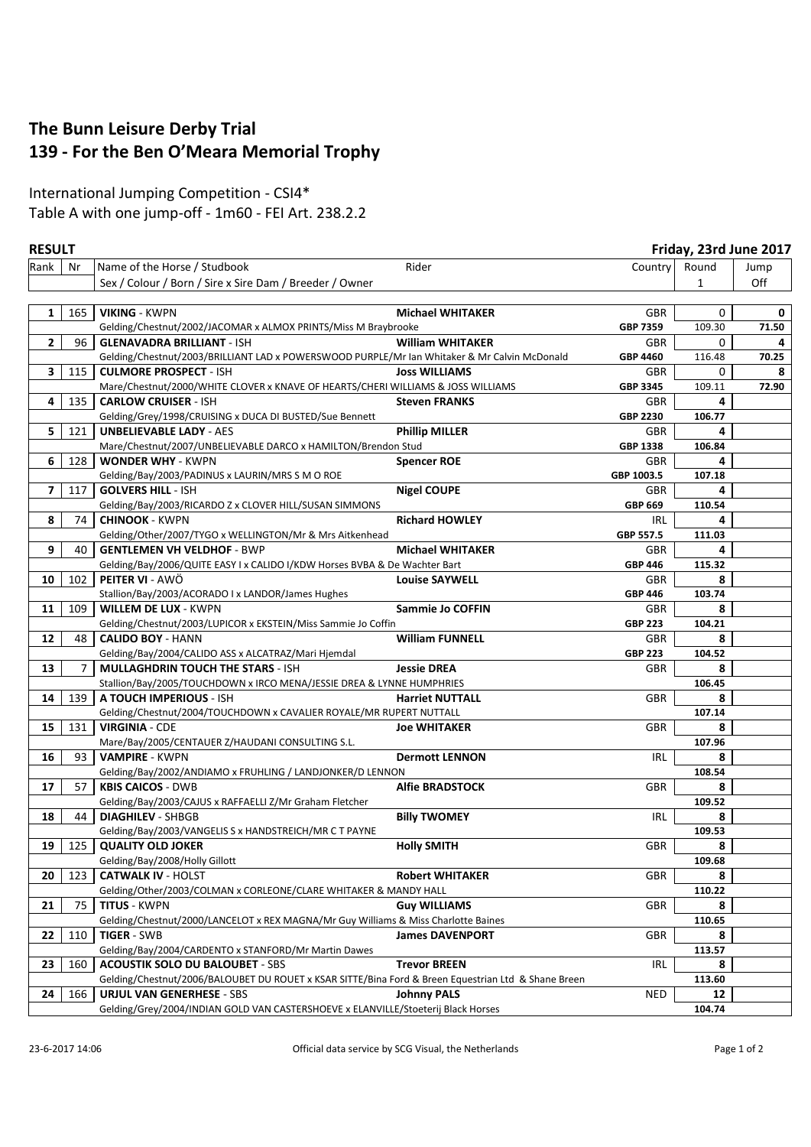## **The Bunn Leisure Derby Trial 139 - For the Ben O'Meara Memorial Trophy**

## International Jumping Competition - CSI4\* Table A with one jump-off - 1m60 - FEI Art. 238.2.2

|                          | <b>RESULT</b> |                                                                                                     |                         | Friday, 23rd June 2017 |              |       |
|--------------------------|---------------|-----------------------------------------------------------------------------------------------------|-------------------------|------------------------|--------------|-------|
| Rank                     | Nr            | Name of the Horse / Studbook                                                                        | Rider                   | Country                | Round        | Jump  |
|                          |               | Sex / Colour / Born / Sire x Sire Dam / Breeder / Owner                                             |                         |                        | $\mathbf{1}$ | Off   |
|                          |               |                                                                                                     |                         |                        |              |       |
| 1                        | 165           | <b>VIKING - KWPN</b>                                                                                | <b>Michael WHITAKER</b> | GBR                    | 0            | 0     |
|                          |               | Gelding/Chestnut/2002/JACOMAR x ALMOX PRINTS/Miss M Braybrooke                                      |                         | GBP 7359               | 109.30       | 71.50 |
| $\mathbf{2}$             | 96            | <b>GLENAVADRA BRILLIANT - ISH</b>                                                                   | <b>William WHITAKER</b> | GBR                    | 0            | 4     |
|                          |               | Gelding/Chestnut/2003/BRILLIANT LAD x POWERSWOOD PURPLE/Mr Ian Whitaker & Mr Calvin McDonald        |                         | GBP 4460               | 116.48       | 70.25 |
| 3                        | 115           | <b>CULMORE PROSPECT - ISH</b>                                                                       | <b>Joss WILLIAMS</b>    | GBR                    | 0            | 8     |
|                          |               | Mare/Chestnut/2000/WHITE CLOVER x KNAVE OF HEARTS/CHERI WILLIAMS & JOSS WILLIAMS                    |                         | GBP 3345               | 109.11       | 72.90 |
| 4                        | 135           | <b>CARLOW CRUISER - ISH</b>                                                                         | <b>Steven FRANKS</b>    | GBR                    | 4            |       |
|                          |               | Gelding/Grey/1998/CRUISING x DUCA DI BUSTED/Sue Bennett                                             |                         | <b>GBP 2230</b>        | 106.77       |       |
| 5                        | 121           | <b>UNBELIEVABLE LADY - AES</b>                                                                      | <b>Phillip MILLER</b>   | GBR                    | 4            |       |
|                          |               | Mare/Chestnut/2007/UNBELIEVABLE DARCO x HAMILTON/Brendon Stud                                       |                         | GBP 1338               | 106.84       |       |
| 6                        | 128           | <b>WONDER WHY - KWPN</b>                                                                            | <b>Spencer ROE</b>      | <b>GBR</b>             | 4            |       |
|                          |               | Gelding/Bay/2003/PADINUS x LAURIN/MRS S M O ROE                                                     |                         | GBP 1003.5             | 107.18       |       |
| $\overline{\phantom{a}}$ | 117           | <b>GOLVERS HILL - ISH</b>                                                                           | <b>Nigel COUPE</b>      | GBR                    | 4            |       |
|                          |               | Gelding/Bay/2003/RICARDO Z x CLOVER HILL/SUSAN SIMMONS                                              |                         | GBP 669                | 110.54       |       |
| 8                        | 74            | <b>CHINOOK - KWPN</b>                                                                               | <b>Richard HOWLEY</b>   | IRL                    | 4            |       |
|                          |               | Gelding/Other/2007/TYGO x WELLINGTON/Mr & Mrs Aitkenhead                                            |                         | GBP 557.5              | 111.03       |       |
| 9                        | 40            | <b>GENTLEMEN VH VELDHOF - BWP</b>                                                                   | <b>Michael WHITAKER</b> | GBR                    | 4            |       |
|                          |               | Gelding/Bay/2006/QUITE EASY I x CALIDO I/KDW Horses BVBA & De Wachter Bart                          |                         | <b>GBP 446</b>         | 115.32       |       |
| 10                       | 102           | <b>PEITER VI - AWÖ</b>                                                                              | <b>Louise SAYWELL</b>   | GBR                    | 8            |       |
|                          |               | Stallion/Bay/2003/ACORADO I x LANDOR/James Hughes                                                   |                         | <b>GBP 446</b>         | 103.74       |       |
| 11                       | 109           | <b>WILLEM DE LUX - KWPN</b>                                                                         | Sammie Jo COFFIN        | GBR                    | 8            |       |
|                          |               | Gelding/Chestnut/2003/LUPICOR x EKSTEIN/Miss Sammie Jo Coffin                                       |                         | <b>GBP 223</b>         | 104.21       |       |
| 12                       | 48            | <b>CALIDO BOY - HANN</b>                                                                            | <b>William FUNNELL</b>  | GBR                    | 8            |       |
|                          |               | Gelding/Bay/2004/CALIDO ASS x ALCATRAZ/Mari Hjemdal                                                 |                         | <b>GBP 223</b>         | 104.52       |       |
| 13                       | 7             | <b>MULLAGHDRIN TOUCH THE STARS - ISH</b>                                                            | <b>Jessie DREA</b>      | GBR                    | 8            |       |
|                          |               | Stallion/Bay/2005/TOUCHDOWN x IRCO MENA/JESSIE DREA & LYNNE HUMPHRIES                               |                         |                        | 106.45       |       |
| 14                       | 139           | A TOUCH IMPERIOUS - ISH                                                                             | <b>Harriet NUTTALL</b>  | GBR                    | 8            |       |
|                          |               | Gelding/Chestnut/2004/TOUCHDOWN x CAVALIER ROYALE/MR RUPERT NUTTALL                                 |                         |                        | 107.14       |       |
| 15                       | 131           | <b>VIRGINIA - CDE</b>                                                                               | <b>Joe WHITAKER</b>     | GBR                    | 8            |       |
|                          |               | Mare/Bay/2005/CENTAUER Z/HAUDANI CONSULTING S.L.                                                    |                         |                        | 107.96       |       |
| 16                       | 93            | <b>VAMPIRE - KWPN</b>                                                                               | <b>Dermott LENNON</b>   | IRL                    | 8            |       |
|                          |               | Gelding/Bay/2002/ANDIAMO x FRUHLING / LANDJONKER/D LENNON                                           |                         |                        | 108.54       |       |
| 17                       | 57            | <b>KBIS CAICOS - DWB</b>                                                                            | <b>Alfie BRADSTOCK</b>  | GBR                    | 8            |       |
|                          |               | Gelding/Bay/2003/CAJUS x RAFFAELLI Z/Mr Graham Fletcher                                             |                         |                        | 109.52       |       |
| 18                       | 44            | <b>DIAGHILEV - SHBGB</b>                                                                            | <b>Billy TWOMEY</b>     | IRL                    | 8            |       |
|                          |               | Gelding/Bay/2003/VANGELIS S x HANDSTREICH/MR C T PAYNE                                              |                         |                        | 109.53       |       |
| 19                       | 125           | <b>QUALITY OLD JOKER</b>                                                                            | <b>Holly SMITH</b>      | GBR                    | 8            |       |
|                          |               | Gelding/Bay/2008/Holly Gillott                                                                      |                         |                        | 109.68       |       |
| 20                       | 123           | <b>CATWALK IV - HOLST</b>                                                                           | <b>Robert WHITAKER</b>  | GBR                    | 8            |       |
|                          |               | Gelding/Other/2003/COLMAN x CORLEONE/CLARE WHITAKER & MANDY HALL                                    |                         |                        | 110.22       |       |
| 21                       | 75            | <b>TITUS - KWPN</b>                                                                                 | <b>Guy WILLIAMS</b>     | GBR                    | 8            |       |
|                          |               | Gelding/Chestnut/2000/LANCELOT x REX MAGNA/Mr Guy Williams & Miss Charlotte Baines                  |                         |                        | 110.65       |       |
| 22                       | 110           | <b>TIGER - SWB</b>                                                                                  | <b>James DAVENPORT</b>  | GBR                    | 8            |       |
|                          |               | Gelding/Bay/2004/CARDENTO x STANFORD/Mr Martin Dawes                                                |                         |                        | 113.57       |       |
| 23                       | 160           | <b>ACOUSTIK SOLO DU BALOUBET - SBS</b>                                                              | <b>Trevor BREEN</b>     | <b>IRL</b>             | 8            |       |
|                          |               | Gelding/Chestnut/2006/BALOUBET DU ROUET x KSAR SITTE/Bina Ford & Breen Equestrian Ltd & Shane Breen |                         |                        | 113.60       |       |
| 24                       | 166           | <b>URJUL VAN GENERHESE - SBS</b>                                                                    | <b>Johnny PALS</b>      | NED                    | 12           |       |
|                          |               | Gelding/Grey/2004/INDIAN GOLD VAN CASTERSHOEVE x ELANVILLE/Stoeterij Black Horses                   |                         |                        | 104.74       |       |